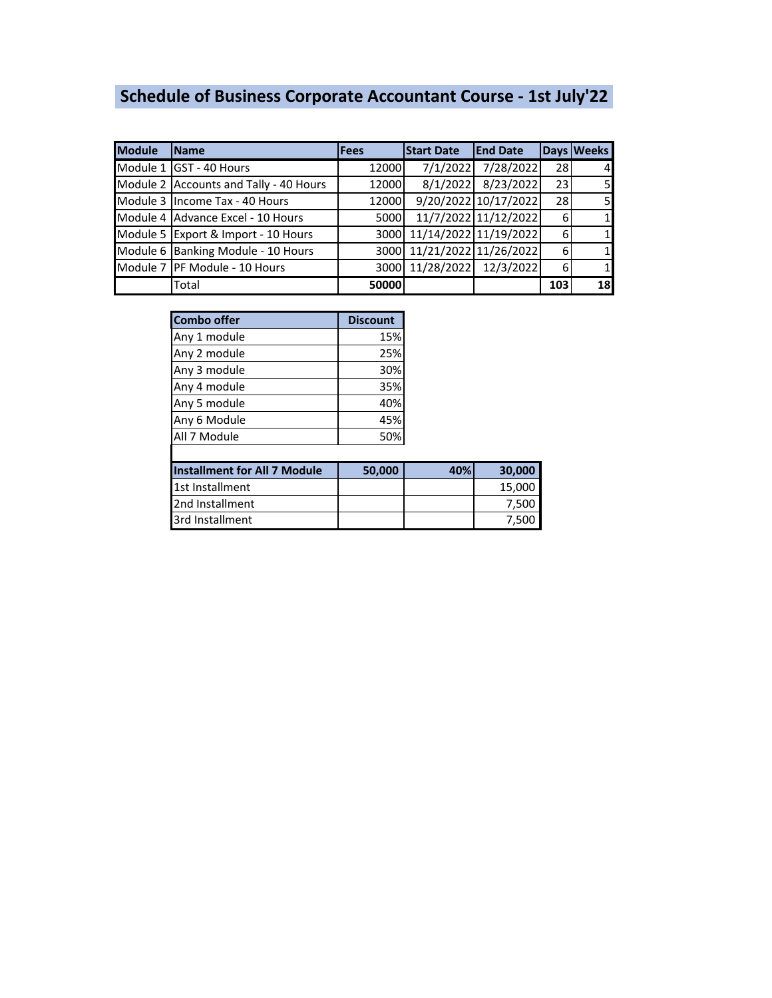# **Schedule of Business Corporate Accountant Course - 1st July'22**

| <b>Module</b>                          | <b>Name</b>                         | <b>Fees</b> | <b>Start Date</b>          | <b>End Date</b>      |           | Days Weeks     |
|----------------------------------------|-------------------------------------|-------------|----------------------------|----------------------|-----------|----------------|
|                                        | Module 1 GST - 40 Hours             | 12000       | 7/1/2022                   | 7/28/2022            | <b>28</b> | $\overline{4}$ |
| Module 2 Accounts and Tally - 40 Hours |                                     | 12000       | 8/1/2022                   | 8/23/2022            | 23        |                |
|                                        | Module 3 Income Tax - 40 Hours      | 12000       |                            | 9/20/2022 10/17/2022 | <b>28</b> | 51             |
|                                        | Module 4 Advance Excel - 10 Hours   | 5000        |                            | 11/7/2022 11/12/2022 | 61        |                |
|                                        | Module 5 Export & Import - 10 Hours |             | 3000 11/14/2022 11/19/2022 |                      | 6         |                |
|                                        | Module 6 Banking Module - 10 Hours  |             | 3000 11/21/2022 11/26/2022 |                      | 6         |                |
|                                        | Module 7 PF Module - 10 Hours       |             | 3000 11/28/2022 12/3/2022  |                      | 6         |                |
|                                        | Total                               | 50000       |                            |                      | 103       | 18             |

| <b>Combo offer</b>                  | <b>Discount</b> |     |        |
|-------------------------------------|-----------------|-----|--------|
| Any 1 module                        | 15%             |     |        |
| Any 2 module                        | 25%             |     |        |
| Any 3 module                        | 30%             |     |        |
| Any 4 module                        | 35%             |     |        |
| Any 5 module                        | 40%             |     |        |
| Any 6 Module                        | 45%             |     |        |
| All 7 Module                        | 50%             |     |        |
|                                     |                 |     |        |
| <b>Installment for All 7 Module</b> | 50,000          | 40% | 30,000 |
| 1st Installment                     |                 |     | 15,000 |
| 2nd Installment                     |                 |     | 7,500  |
| 3rd Installment                     |                 |     | 7,500  |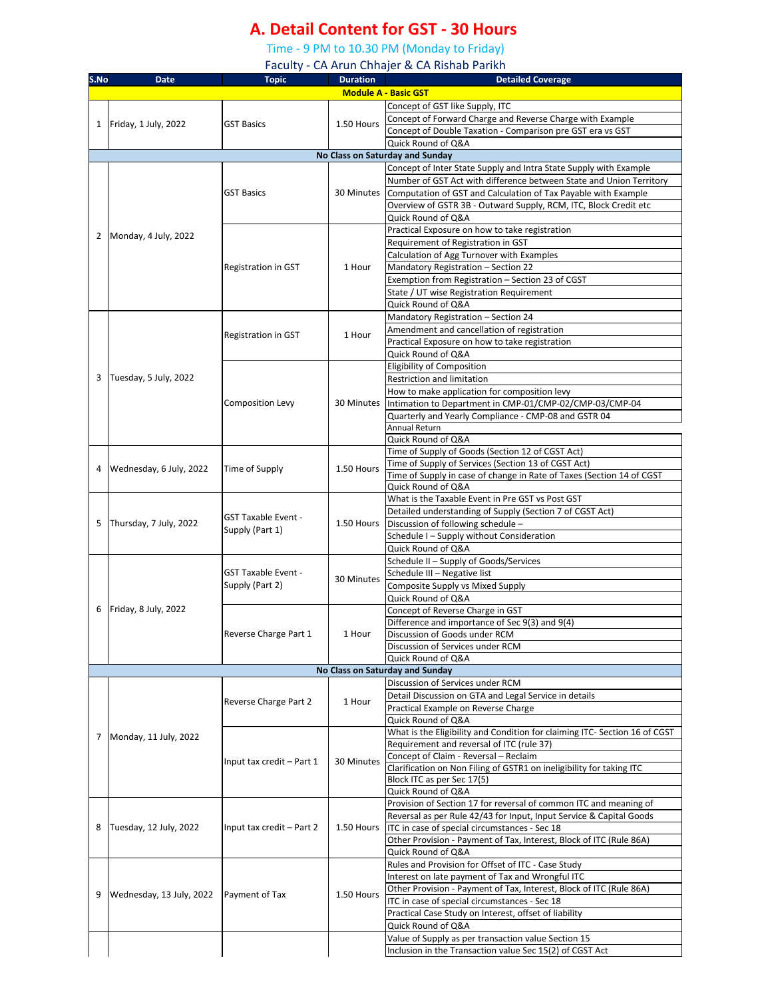## **A. Detail Content for GST - 30 Hours**

Time - 9 PM to 10.30 PM (Monday to Friday)

Faculty - CA Arun Chhajer & CA Rishab Parikh

| S.No | <b>Date</b>              | <b>Topic</b>               | <b>Duration</b> | <b>Detailed Coverage</b>                                                                                             |
|------|--------------------------|----------------------------|-----------------|----------------------------------------------------------------------------------------------------------------------|
|      |                          |                            |                 | <b>Module A - Basic GST</b>                                                                                          |
|      |                          |                            |                 | Concept of GST like Supply, ITC                                                                                      |
|      |                          |                            |                 | Concept of Forward Charge and Reverse Charge with Example                                                            |
|      | 1   Friday, 1 July, 2022 | <b>GST Basics</b>          | 1.50 Hours      | Concept of Double Taxation - Comparison pre GST era vs GST                                                           |
|      |                          |                            |                 | Quick Round of Q&A                                                                                                   |
|      |                          |                            |                 | No Class on Saturday and Sunday                                                                                      |
|      |                          |                            |                 | Concept of Inter State Supply and Intra State Supply with Example                                                    |
|      |                          |                            |                 | Number of GST Act with difference between State and Union Territory                                                  |
|      |                          | <b>GST Basics</b>          | 30 Minutes      | Computation of GST and Calculation of Tax Payable with Example                                                       |
|      |                          |                            |                 | Overview of GSTR 3B - Outward Supply, RCM, ITC, Block Credit etc                                                     |
|      |                          |                            |                 | Quick Round of Q&A                                                                                                   |
|      | 2 Monday, 4 July, 2022   |                            |                 | Practical Exposure on how to take registration                                                                       |
|      |                          |                            |                 | Requirement of Registration in GST                                                                                   |
|      |                          |                            |                 | Calculation of Agg Turnover with Examples                                                                            |
|      |                          | Registration in GST        | 1 Hour          | Mandatory Registration - Section 22                                                                                  |
|      |                          |                            |                 | Exemption from Registration - Section 23 of CGST                                                                     |
|      |                          |                            |                 | State / UT wise Registration Requirement                                                                             |
|      |                          |                            |                 | Quick Round of Q&A                                                                                                   |
|      |                          |                            |                 | Mandatory Registration - Section 24                                                                                  |
|      |                          | Registration in GST        | 1 Hour          | Amendment and cancellation of registration                                                                           |
|      |                          |                            |                 | Practical Exposure on how to take registration                                                                       |
|      |                          |                            |                 | Quick Round of Q&A                                                                                                   |
|      |                          |                            |                 | <b>Eligibility of Composition</b>                                                                                    |
| 3    | Tuesday, 5 July, 2022    |                            |                 | Restriction and limitation                                                                                           |
|      |                          |                            |                 | How to make application for composition levy                                                                         |
|      |                          | <b>Composition Levy</b>    | 30 Minutes      | Intimation to Department in CMP-01/CMP-02/CMP-03/CMP-04                                                              |
|      |                          |                            |                 | Quarterly and Yearly Compliance - CMP-08 and GSTR 04                                                                 |
|      |                          |                            |                 | Annual Return                                                                                                        |
|      |                          |                            |                 | Quick Round of Q&A                                                                                                   |
|      |                          |                            |                 | Time of Supply of Goods (Section 12 of CGST Act)                                                                     |
|      | Wednesday, 6 July, 2022  | Time of Supply             | 1.50 Hours      | Time of Supply of Services (Section 13 of CGST Act)                                                                  |
|      |                          |                            |                 | Time of Supply in case of change in Rate of Taxes (Section 14 of CGST<br>Quick Round of Q&A                          |
|      |                          |                            |                 | What is the Taxable Event in Pre GST vs Post GST                                                                     |
|      |                          |                            |                 | Detailed understanding of Supply (Section 7 of CGST Act)                                                             |
| 5    | Thursday, 7 July, 2022   | <b>GST Taxable Event -</b> | 1.50 Hours      | Discussion of following schedule -                                                                                   |
|      |                          | Supply (Part 1)            |                 | Schedule I - Supply without Consideration                                                                            |
|      |                          |                            |                 | Quick Round of Q&A                                                                                                   |
|      |                          |                            |                 | Schedule II - Supply of Goods/Services                                                                               |
|      |                          | <b>GST Taxable Event -</b> |                 | Schedule III - Negative list                                                                                         |
|      |                          | Supply (Part 2)            | 30 Minutes      | Composite Supply vs Mixed Supply                                                                                     |
|      |                          |                            |                 | Quick Round of Q&A                                                                                                   |
| 6    | Friday, 8 July, 2022     |                            |                 | Concept of Reverse Charge in GST                                                                                     |
|      |                          |                            |                 | Difference and importance of Sec 9(3) and 9(4)                                                                       |
|      |                          | Reverse Charge Part 1      | 1 Hour          | Discussion of Goods under RCM                                                                                        |
|      |                          |                            |                 | Discussion of Services under RCM                                                                                     |
|      |                          |                            |                 | Quick Round of Q&A                                                                                                   |
|      |                          |                            |                 | No Class on Saturday and Sunday                                                                                      |
|      |                          |                            |                 | Discussion of Services under RCM                                                                                     |
|      |                          | Reverse Charge Part 2      | 1 Hour          | Detail Discussion on GTA and Legal Service in details                                                                |
|      |                          |                            |                 | Practical Example on Reverse Charge                                                                                  |
|      |                          |                            |                 | Quick Round of Q&A                                                                                                   |
|      | 7 Monday, 11 July, 2022  |                            |                 | What is the Eligibility and Condition for claiming ITC- Section 16 of CGST                                           |
|      |                          |                            |                 | Requirement and reversal of ITC (rule 37)                                                                            |
|      |                          | Input tax credit - Part 1  | 30 Minutes      | Concept of Claim - Reversal - Reclaim                                                                                |
|      |                          |                            |                 | Clarification on Non Filing of GSTR1 on ineligibility for taking ITC                                                 |
|      |                          |                            |                 | Block ITC as per Sec 17(5)                                                                                           |
|      |                          |                            |                 | Quick Round of Q&A                                                                                                   |
|      |                          |                            |                 | Provision of Section 17 for reversal of common ITC and meaning of                                                    |
| 8    | Tuesday, 12 July, 2022   | Input tax credit - Part 2  | 1.50 Hours      | Reversal as per Rule 42/43 for Input, Input Service & Capital Goods<br>ITC in case of special circumstances - Sec 18 |
|      |                          |                            |                 | Other Provision - Payment of Tax, Interest, Block of ITC (Rule 86A)                                                  |
|      |                          |                            |                 | Quick Round of Q&A                                                                                                   |
|      |                          |                            |                 | Rules and Provision for Offset of ITC - Case Study                                                                   |
|      |                          |                            |                 | Interest on late payment of Tax and Wrongful ITC                                                                     |
|      |                          |                            |                 | Other Provision - Payment of Tax, Interest, Block of ITC (Rule 86A)                                                  |
| 9    | Wednesday, 13 July, 2022 | Payment of Tax             | 1.50 Hours      | ITC in case of special circumstances - Sec 18                                                                        |
|      |                          |                            |                 | Practical Case Study on Interest, offset of liability                                                                |
|      |                          |                            |                 | Quick Round of Q&A                                                                                                   |
|      |                          |                            |                 | Value of Supply as per transaction value Section 15                                                                  |
|      |                          |                            |                 | Inclusion in the Transaction value Sec 15(2) of CGST Act                                                             |
|      |                          |                            |                 |                                                                                                                      |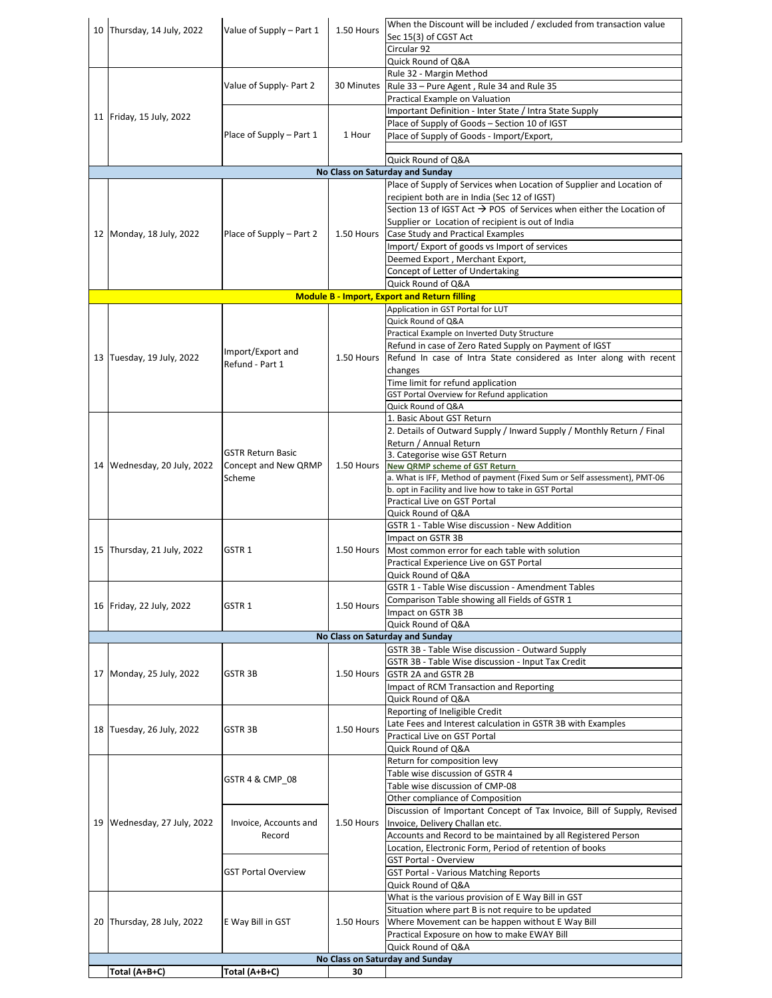|    | 10 Thursday, 14 July, 2022  | Value of Supply - Part 1   | 1.50 Hours | When the Discount will be included / excluded from transaction value             |
|----|-----------------------------|----------------------------|------------|----------------------------------------------------------------------------------|
|    |                             |                            |            | Sec 15(3) of CGST Act                                                            |
|    |                             |                            |            | Circular 92                                                                      |
|    |                             |                            |            | Quick Round of Q&A                                                               |
|    |                             |                            |            | Rule 32 - Margin Method                                                          |
|    |                             | Value of Supply- Part 2    | 30 Minutes | Rule 33 - Pure Agent, Rule 34 and Rule 35                                        |
|    |                             |                            |            | Practical Example on Valuation                                                   |
|    | 11 Friday, 15 July, 2022    |                            |            | Important Definition - Inter State / Intra State Supply                          |
|    |                             |                            |            | Place of Supply of Goods - Section 10 of IGST                                    |
|    |                             | Place of Supply - Part 1   | 1 Hour     | Place of Supply of Goods - Import/Export,                                        |
|    |                             |                            |            |                                                                                  |
|    |                             |                            |            | Quick Round of Q&A                                                               |
|    |                             |                            |            | No Class on Saturday and Sunday                                                  |
|    |                             |                            |            | Place of Supply of Services when Location of Supplier and Location of            |
|    |                             |                            |            | recipient both are in India (Sec 12 of IGST)                                     |
|    |                             |                            |            | Section 13 of IGST Act $\rightarrow$ POS of Services when either the Location of |
|    |                             |                            |            | Supplier or Location of recipient is out of India                                |
|    | 12 Monday, 18 July, 2022    | Place of Supply – Part 2   | 1.50 Hours | Case Study and Practical Examples                                                |
|    |                             |                            |            | Import/Export of goods vs Import of services                                     |
|    |                             |                            |            | Deemed Export, Merchant Export,                                                  |
|    |                             |                            |            | Concept of Letter of Undertaking                                                 |
|    |                             |                            |            | Quick Round of Q&A                                                               |
|    |                             |                            |            | <b>Module B - Import, Export and Return filling</b>                              |
|    |                             |                            |            | Application in GST Portal for LUT                                                |
|    |                             |                            |            | Quick Round of Q&A                                                               |
|    |                             |                            |            | Practical Example on Inverted Duty Structure                                     |
|    |                             |                            |            | Refund in case of Zero Rated Supply on Payment of IGST                           |
|    | 13 Tuesday, 19 July, 2022   | Import/Export and          | 1.50 Hours | Refund In case of Intra State considered as Inter along with recent              |
|    |                             | Refund - Part 1            |            | changes                                                                          |
|    |                             |                            |            | Time limit for refund application                                                |
|    |                             |                            |            | GST Portal Overview for Refund application                                       |
|    |                             |                            |            | Quick Round of Q&A                                                               |
|    |                             |                            |            | 1. Basic About GST Return                                                        |
|    |                             |                            |            | 2. Details of Outward Supply / Inward Supply / Monthly Return / Final            |
|    |                             |                            |            | Return / Annual Return                                                           |
|    |                             | <b>GSTR Return Basic</b>   |            | 3. Categorise wise GST Return                                                    |
|    | 14 Wednesday, 20 July, 2022 | Concept and New QRMP       | 1.50 Hours | New QRMP scheme of GST Return                                                    |
|    |                             | Scheme                     |            | a. What is IFF, Method of payment (Fixed Sum or Self assessment), PMT-06         |
|    |                             |                            |            | b. opt in Facility and live how to take in GST Portal                            |
|    |                             |                            |            | Practical Live on GST Portal                                                     |
|    |                             |                            |            | Quick Round of Q&A                                                               |
|    |                             |                            |            | GSTR 1 - Table Wise discussion - New Addition                                    |
|    |                             |                            |            | Impact on GSTR 3B                                                                |
|    | 15 Thursday, 21 July, 2022  | GSTR 1                     | 1.50 Hours | Most common error for each table with solution                                   |
|    |                             |                            |            | Practical Experience Live on GST Portal                                          |
|    |                             |                            |            | Quick Round of Q&A                                                               |
|    |                             |                            |            | GSTR 1 - Table Wise discussion - Amendment Tables                                |
|    | 16 Friday, 22 July, 2022    | GSTR 1                     | 1.50 Hours | Comparison Table showing all Fields of GSTR 1                                    |
|    |                             |                            |            | Impact on GSTR 3B                                                                |
|    |                             |                            |            | Quick Round of Q&A                                                               |
|    |                             |                            |            | No Class on Saturday and Sunday                                                  |
|    |                             |                            |            | GSTR 3B - Table Wise discussion - Outward Supply                                 |
|    |                             |                            |            | GSTR 3B - Table Wise discussion - Input Tax Credit                               |
|    | 17 Monday, 25 July, 2022    | GSTR 3B                    | 1.50 Hours | GSTR 2A and GSTR 2B                                                              |
|    |                             |                            |            | Impact of RCM Transaction and Reporting                                          |
|    |                             |                            |            | Quick Round of Q&A                                                               |
|    |                             |                            |            | Reporting of Ineligible Credit                                                   |
|    | 18 Tuesday, 26 July, 2022   | GSTR 3B                    | 1.50 Hours | Late Fees and Interest calculation in GSTR 3B with Examples                      |
|    |                             |                            |            | Practical Live on GST Portal                                                     |
|    |                             |                            |            | Quick Round of Q&A                                                               |
|    |                             |                            |            | Return for composition levy                                                      |
|    |                             | GSTR 4 & CMP_08            |            | Table wise discussion of GSTR 4                                                  |
|    |                             |                            |            | Table wise discussion of CMP-08                                                  |
|    |                             |                            |            | Other compliance of Composition                                                  |
|    |                             |                            |            | Discussion of Important Concept of Tax Invoice, Bill of Supply, Revised          |
| 19 | Wednesday, 27 July, 2022    | Invoice, Accounts and      | 1.50 Hours | Invoice, Delivery Challan etc.                                                   |
|    |                             | Record                     |            | Accounts and Record to be maintained by all Registered Person                    |
|    |                             |                            |            | Location, Electronic Form, Period of retention of books                          |
|    |                             |                            |            | <b>GST Portal - Overview</b>                                                     |
|    |                             | <b>GST Portal Overview</b> |            | <b>GST Portal - Various Matching Reports</b>                                     |
|    |                             |                            |            | Quick Round of Q&A                                                               |
|    |                             |                            |            | What is the various provision of E Way Bill in GST                               |
|    |                             |                            |            | Situation where part B is not require to be updated                              |
|    | 20 Thursday, 28 July, 2022  | E Way Bill in GST          | 1.50 Hours | Where Movement can be happen without E Way Bill                                  |
|    |                             |                            |            | Practical Exposure on how to make EWAY Bill                                      |
|    |                             |                            |            | Quick Round of Q&A                                                               |
|    |                             |                            |            | No Class on Saturday and Sunday                                                  |
|    | Total (A+B+C)               | Total (A+B+C)              | 30         |                                                                                  |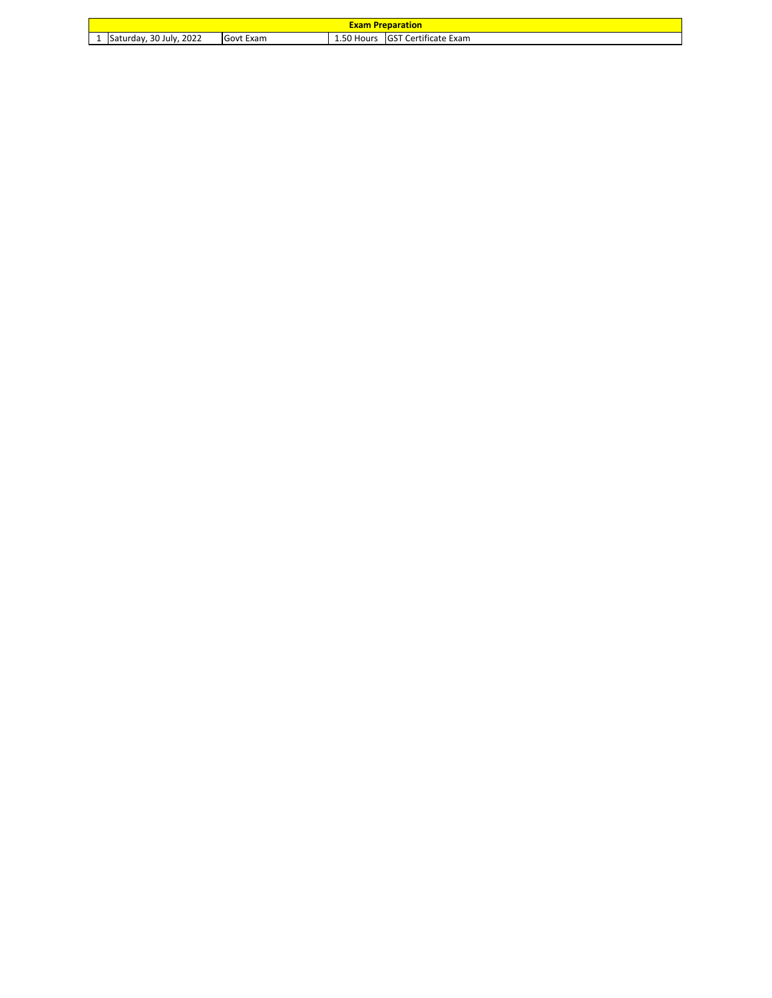|   | <b>Exam Preparation</b>     |           |            |                                   |  |  |
|---|-----------------------------|-----------|------------|-----------------------------------|--|--|
| - | .2022<br>Saturday, 30 July, | Govt Exam | 1.50 Hours | Certificate Exam<br><b>IGST C</b> |  |  |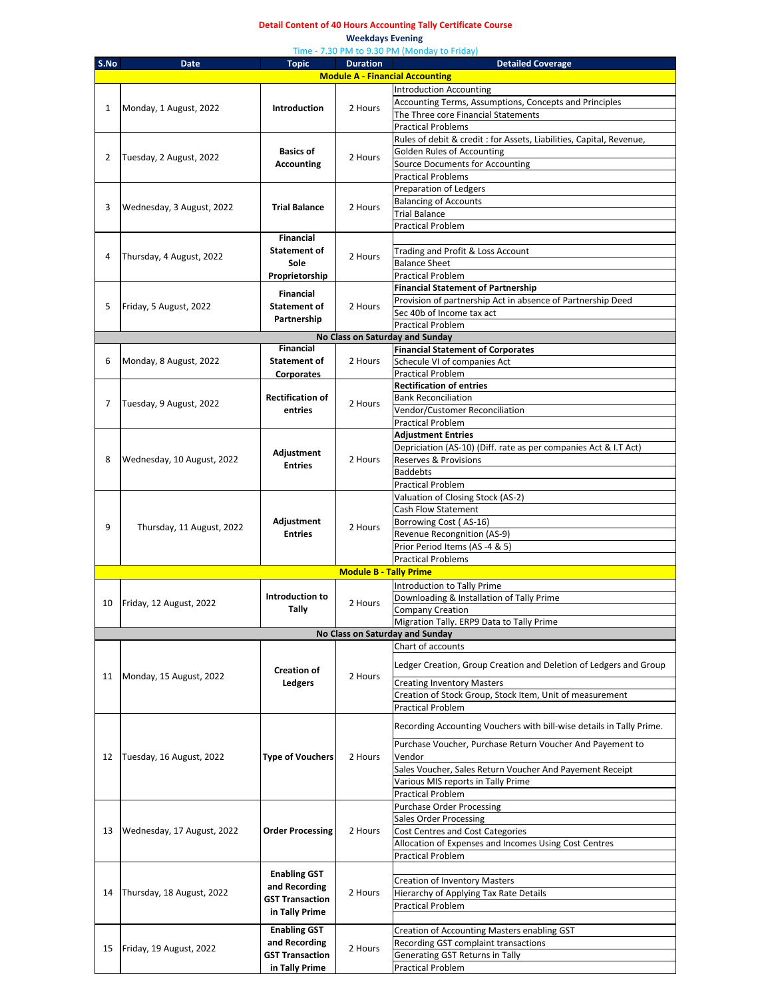#### **Detail Content of 40 Hours Accounting Tally Certificate Course**

**Weekdays Evening** 

|      | Time - 7.30 PM to 9.30 PM (Monday to Friday)                                                                         |                              |                               |                                                                                          |  |  |
|------|----------------------------------------------------------------------------------------------------------------------|------------------------------|-------------------------------|------------------------------------------------------------------------------------------|--|--|
| S.No | <b>Detailed Coverage</b><br><b>Date</b><br><b>Topic</b><br><b>Duration</b><br><b>Module A - Financial Accounting</b> |                              |                               |                                                                                          |  |  |
|      |                                                                                                                      |                              |                               |                                                                                          |  |  |
|      |                                                                                                                      |                              |                               | <b>Introduction Accounting</b><br>Accounting Terms, Assumptions, Concepts and Principles |  |  |
| 1    | Monday, 1 August, 2022                                                                                               | Introduction                 | 2 Hours                       | The Three core Financial Statements                                                      |  |  |
|      |                                                                                                                      |                              |                               | <b>Practical Problems</b>                                                                |  |  |
|      |                                                                                                                      |                              |                               | Rules of debit & credit : for Assets, Liabilities, Capital, Revenue,                     |  |  |
|      |                                                                                                                      | <b>Basics of</b>             |                               | <b>Golden Rules of Accounting</b>                                                        |  |  |
| 2    | Tuesday, 2 August, 2022                                                                                              | <b>Accounting</b>            | 2 Hours                       | Source Documents for Accounting                                                          |  |  |
|      |                                                                                                                      |                              |                               | <b>Practical Problems</b>                                                                |  |  |
|      |                                                                                                                      |                              |                               | Preparation of Ledgers                                                                   |  |  |
|      |                                                                                                                      |                              |                               | <b>Balancing of Accounts</b>                                                             |  |  |
| 3    | Wednesday, 3 August, 2022                                                                                            | <b>Trial Balance</b>         | 2 Hours                       | <b>Trial Balance</b>                                                                     |  |  |
|      |                                                                                                                      |                              |                               | <b>Practical Problem</b>                                                                 |  |  |
|      |                                                                                                                      | <b>Financial</b>             |                               |                                                                                          |  |  |
|      |                                                                                                                      | Statement of                 |                               | Trading and Profit & Loss Account                                                        |  |  |
| 4    | Thursday, 4 August, 2022                                                                                             | Sole                         | 2 Hours                       | <b>Balance Sheet</b>                                                                     |  |  |
|      |                                                                                                                      | Proprietorship               |                               | <b>Practical Problem</b>                                                                 |  |  |
|      |                                                                                                                      |                              |                               | <b>Financial Statement of Partnership</b>                                                |  |  |
|      |                                                                                                                      | Financial                    |                               | Provision of partnership Act in absence of Partnership Deed                              |  |  |
| 5    | Friday, 5 August, 2022                                                                                               | <b>Statement of</b>          | 2 Hours                       | Sec 40b of Income tax act                                                                |  |  |
|      |                                                                                                                      | Partnership                  |                               | <b>Practical Problem</b>                                                                 |  |  |
|      |                                                                                                                      |                              |                               | No Class on Saturday and Sunday                                                          |  |  |
|      |                                                                                                                      | Financial                    |                               | <b>Financial Statement of Corporates</b>                                                 |  |  |
| 6    | Monday, 8 August, 2022                                                                                               | <b>Statement of</b>          | 2 Hours                       | Schecule VI of companies Act                                                             |  |  |
|      |                                                                                                                      | Corporates                   |                               | <b>Practical Problem</b>                                                                 |  |  |
|      |                                                                                                                      |                              |                               | <b>Rectification of entries</b>                                                          |  |  |
|      |                                                                                                                      | <b>Rectification of</b>      |                               | <b>Bank Reconciliation</b>                                                               |  |  |
| 7    | Tuesday, 9 August, 2022                                                                                              | entries                      | 2 Hours                       | Vendor/Customer Reconciliation                                                           |  |  |
|      |                                                                                                                      |                              |                               | <b>Practical Problem</b>                                                                 |  |  |
|      |                                                                                                                      |                              |                               | <b>Adjustment Entries</b>                                                                |  |  |
|      |                                                                                                                      |                              |                               | Depriciation (AS-10) (Diff. rate as per companies Act & I.T Act)                         |  |  |
| 8    | Wednesday, 10 August, 2022                                                                                           | Adjustment<br><b>Entries</b> | 2 Hours                       | Reserves & Provisions                                                                    |  |  |
|      |                                                                                                                      |                              |                               | <b>Baddebts</b>                                                                          |  |  |
|      |                                                                                                                      |                              |                               | <b>Practical Problem</b>                                                                 |  |  |
|      |                                                                                                                      |                              |                               | Valuation of Closing Stock (AS-2)                                                        |  |  |
|      |                                                                                                                      | Adjustment                   |                               | <b>Cash Flow Statement</b>                                                               |  |  |
|      |                                                                                                                      |                              |                               | Borrowing Cost (AS-16)                                                                   |  |  |
| 9    | Thursday, 11 August, 2022                                                                                            | <b>Entries</b>               | 2 Hours                       | Revenue Recongnition (AS-9)                                                              |  |  |
|      |                                                                                                                      |                              |                               | Prior Period Items (AS -4 & 5)                                                           |  |  |
|      |                                                                                                                      |                              |                               | <b>Practical Problems</b>                                                                |  |  |
|      |                                                                                                                      |                              | <b>Module B - Tally Prime</b> |                                                                                          |  |  |
|      |                                                                                                                      |                              |                               | Introduction to Tally Prime                                                              |  |  |
|      |                                                                                                                      | Introduction to              |                               | Downloading & Installation of Tally Prime                                                |  |  |
| 10   | Friday, 12 August, 2022                                                                                              | Tally                        | 2 Hours                       | <b>Company Creation</b>                                                                  |  |  |
|      |                                                                                                                      |                              |                               | Migration Tally. ERP9 Data to Tally Prime                                                |  |  |
|      |                                                                                                                      |                              |                               | No Class on Saturday and Sunday                                                          |  |  |
|      |                                                                                                                      |                              |                               | Chart of accounts                                                                        |  |  |
|      |                                                                                                                      |                              |                               |                                                                                          |  |  |
|      |                                                                                                                      | <b>Creation of</b>           |                               | Ledger Creation, Group Creation and Deletion of Ledgers and Group                        |  |  |
| 11   | Monday, 15 August, 2022                                                                                              | Ledgers                      | 2 Hours                       | <b>Creating Inventory Masters</b>                                                        |  |  |
|      |                                                                                                                      |                              |                               | Creation of Stock Group, Stock Item, Unit of measurement                                 |  |  |
|      |                                                                                                                      |                              |                               | <b>Practical Problem</b>                                                                 |  |  |
|      |                                                                                                                      |                              |                               |                                                                                          |  |  |
|      |                                                                                                                      |                              |                               | Recording Accounting Vouchers with bill-wise details in Tally Prime.                     |  |  |
|      |                                                                                                                      |                              |                               | Purchase Voucher, Purchase Return Voucher And Payement to                                |  |  |
| 12   | Tuesday, 16 August, 2022                                                                                             | <b>Type of Vouchers</b>      | 2 Hours                       | Vendor                                                                                   |  |  |
|      |                                                                                                                      |                              |                               | Sales Voucher, Sales Return Voucher And Payement Receipt                                 |  |  |
|      |                                                                                                                      |                              |                               | Various MIS reports in Tally Prime                                                       |  |  |
|      |                                                                                                                      |                              |                               | <b>Practical Problem</b>                                                                 |  |  |
|      |                                                                                                                      |                              |                               | <b>Purchase Order Processing</b>                                                         |  |  |
|      |                                                                                                                      |                              |                               | Sales Order Processing                                                                   |  |  |
| 13   | Wednesday, 17 August, 2022                                                                                           | <b>Order Processing</b>      | 2 Hours                       | Cost Centres and Cost Categories                                                         |  |  |
|      |                                                                                                                      |                              |                               | Allocation of Expenses and Incomes Using Cost Centres                                    |  |  |
|      |                                                                                                                      |                              |                               | <b>Practical Problem</b>                                                                 |  |  |
|      |                                                                                                                      |                              |                               |                                                                                          |  |  |
|      |                                                                                                                      | <b>Enabling GST</b>          |                               | <b>Creation of Inventory Masters</b>                                                     |  |  |
| 14   | Thursday, 18 August, 2022                                                                                            | and Recording                | 2 Hours                       | Hierarchy of Applying Tax Rate Details                                                   |  |  |
|      |                                                                                                                      | <b>GST Transaction</b>       |                               | <b>Practical Problem</b>                                                                 |  |  |
|      |                                                                                                                      | in Tally Prime               |                               |                                                                                          |  |  |
|      |                                                                                                                      | <b>Enabling GST</b>          |                               | Creation of Accounting Masters enabling GST                                              |  |  |
|      |                                                                                                                      | and Recording                |                               | Recording GST complaint transactions                                                     |  |  |
| 15   | Friday, 19 August, 2022                                                                                              | <b>GST Transaction</b>       | 2 Hours                       | Generating GST Returns in Tally                                                          |  |  |
|      |                                                                                                                      |                              |                               |                                                                                          |  |  |

Practical Problem

**in Tally Prime**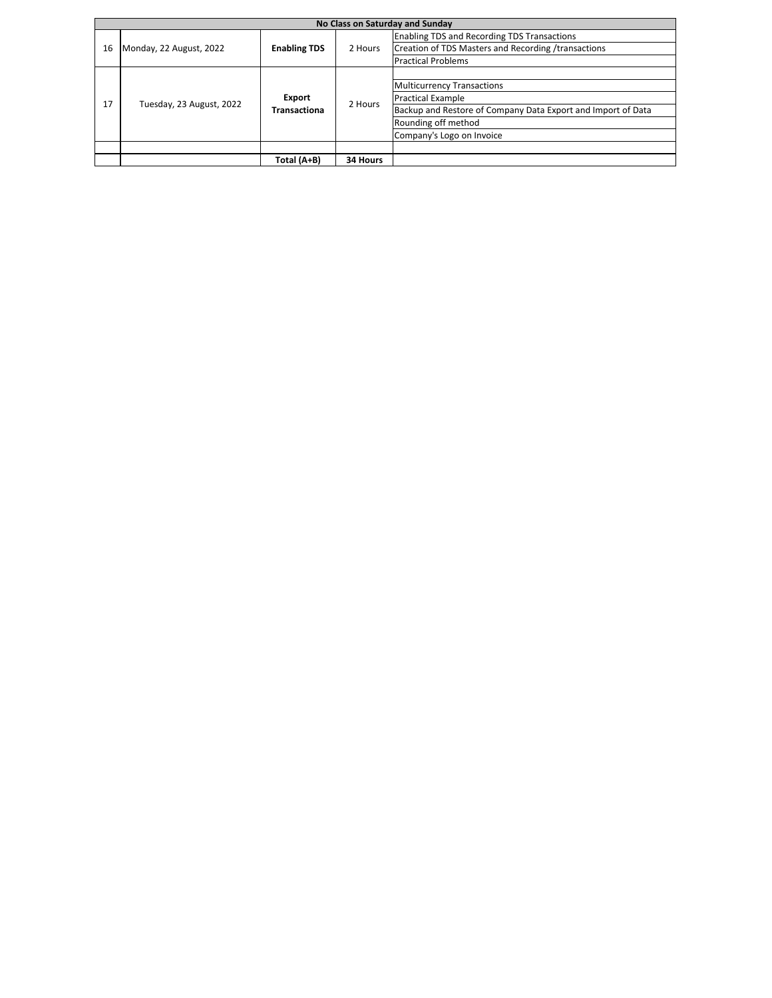|    | No Class on Saturday and Sunday |                               |          |                                                              |  |  |
|----|---------------------------------|-------------------------------|----------|--------------------------------------------------------------|--|--|
|    |                                 |                               |          | <b>Enabling TDS and Recording TDS Transactions</b>           |  |  |
| 16 | Monday, 22 August, 2022         | <b>Enabling TDS</b>           | 2 Hours  | Creation of TDS Masters and Recording /transactions          |  |  |
|    |                                 |                               |          | <b>Practical Problems</b>                                    |  |  |
|    |                                 |                               |          |                                                              |  |  |
|    | Tuesday, 23 August, 2022        | Export<br><b>Transactiona</b> | 2 Hours  | <b>Multicurrency Transactions</b>                            |  |  |
| 17 |                                 |                               |          | <b>Practical Example</b>                                     |  |  |
|    |                                 |                               |          | Backup and Restore of Company Data Export and Import of Data |  |  |
|    |                                 |                               |          | Rounding off method                                          |  |  |
|    |                                 |                               |          | Company's Logo on Invoice                                    |  |  |
|    |                                 |                               |          |                                                              |  |  |
|    |                                 | Total (A+B)                   | 34 Hours |                                                              |  |  |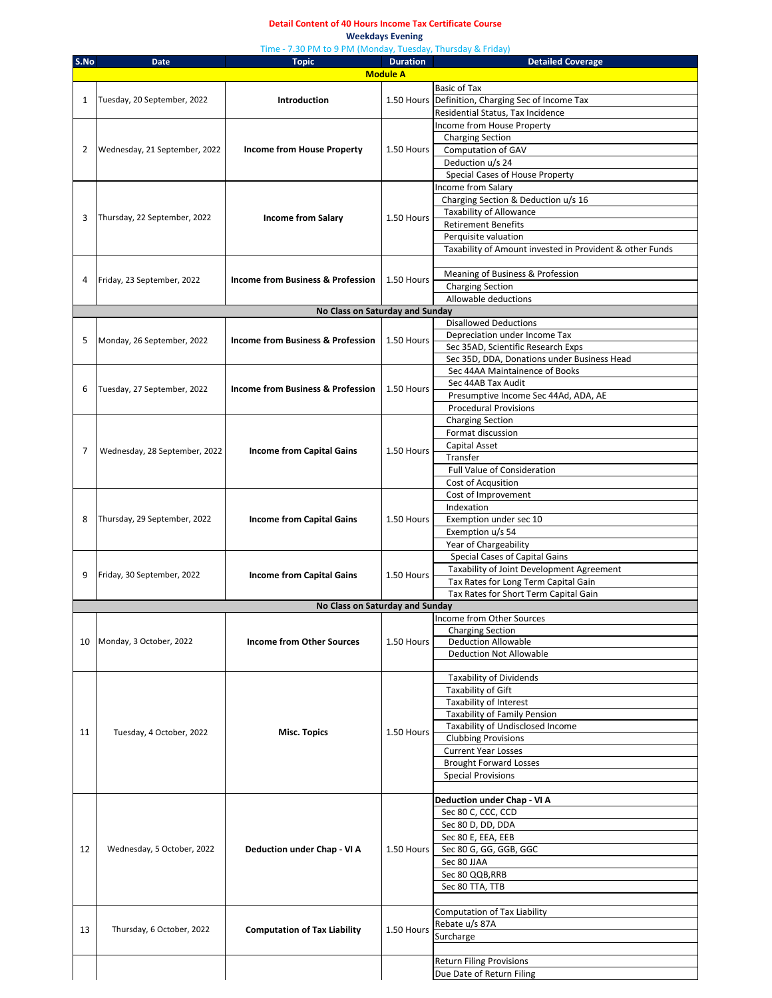#### **Detail Content of 40 Hours Income Tax Certificate Course Weekdays Evening**

|              |                               | Time - 7.30 PM to 9 PM (Monday, Tuesday, Thursday & Friday) |                 |                                                          |
|--------------|-------------------------------|-------------------------------------------------------------|-----------------|----------------------------------------------------------|
| S.No         | Date                          | <b>Topic</b>                                                | <b>Duration</b> | <b>Detailed Coverage</b>                                 |
|              |                               |                                                             | <b>Module A</b> |                                                          |
|              |                               |                                                             |                 | <b>Basic of Tax</b>                                      |
| $\mathbf{1}$ | Tuesday, 20 September, 2022   | <b>Introduction</b>                                         |                 | 1.50 Hours Definition, Charging Sec of Income Tax        |
|              |                               |                                                             |                 | Residential Status, Tax Incidence                        |
|              |                               |                                                             |                 | Income from House Property                               |
|              |                               |                                                             |                 | <b>Charging Section</b>                                  |
| 2            | Wednesday, 21 September, 2022 | Income from House Property                                  | 1.50 Hours      | Computation of GAV                                       |
|              |                               |                                                             |                 | Deduction u/s 24                                         |
|              |                               |                                                             |                 | Special Cases of House Property                          |
|              |                               |                                                             |                 | Income from Salary                                       |
|              |                               |                                                             |                 | Charging Section & Deduction u/s 16                      |
|              |                               |                                                             |                 | Taxability of Allowance                                  |
| 3            | Thursday, 22 September, 2022  | <b>Income from Salary</b>                                   | 1.50 Hours      | <b>Retirement Benefits</b>                               |
|              |                               |                                                             |                 | Perquisite valuation                                     |
|              |                               |                                                             |                 | Taxability of Amount invested in Provident & other Funds |
|              |                               |                                                             |                 |                                                          |
|              |                               |                                                             |                 |                                                          |
| 4            | Friday, 23 September, 2022    | <b>Income from Business &amp; Profession</b>                | 1.50 Hours      | Meaning of Business & Profession                         |
|              |                               |                                                             |                 | <b>Charging Section</b>                                  |
|              |                               |                                                             |                 | Allowable deductions                                     |
|              |                               | No Class on Saturday and Sunday                             |                 |                                                          |
|              |                               |                                                             |                 | <b>Disallowed Deductions</b>                             |
| 5            | Monday, 26 September, 2022    | <b>Income from Business &amp; Profession</b>                | 1.50 Hours      | Depreciation under Income Tax                            |
|              |                               |                                                             |                 | Sec 35AD, Scientific Research Exps                       |
|              |                               |                                                             |                 | Sec 35D, DDA, Donations under Business Head              |
|              |                               |                                                             |                 | Sec 44AA Maintainence of Books                           |
|              |                               |                                                             |                 | Sec 44AB Tax Audit                                       |
| 6            | Tuesday, 27 September, 2022   | <b>Income from Business &amp; Profession</b>                | 1.50 Hours      | Presumptive Income Sec 44Ad, ADA, AE                     |
|              |                               |                                                             |                 | <b>Procedural Provisions</b>                             |
|              |                               |                                                             |                 | <b>Charging Section</b>                                  |
|              |                               |                                                             |                 |                                                          |
|              |                               |                                                             | 1.50 Hours      | Format discussion                                        |
| 7            | Wednesday, 28 September, 2022 | <b>Income from Capital Gains</b>                            |                 | Capital Asset                                            |
|              |                               |                                                             |                 | Transfer                                                 |
|              |                               |                                                             |                 | <b>Full Value of Consideration</b>                       |
|              |                               |                                                             |                 | Cost of Acqusition                                       |
|              |                               |                                                             |                 | Cost of Improvement                                      |
|              | Thursday, 29 September, 2022  | <b>Income from Capital Gains</b>                            | 1.50 Hours      | Indexation                                               |
| 8            |                               |                                                             |                 | Exemption under sec 10                                   |
|              |                               |                                                             |                 | Exemption u/s 54                                         |
|              |                               |                                                             |                 | Year of Chargeability                                    |
|              |                               |                                                             |                 | Special Cases of Capital Gains                           |
|              |                               |                                                             |                 | Taxability of Joint Development Agreement                |
| 9            | Friday, 30 September, 2022    | <b>Income from Capital Gains</b>                            | 1.50 Hours      |                                                          |
|              |                               |                                                             |                 | Tax Rates for Long Term Capital Gain                     |
|              |                               |                                                             |                 | Tax Rates for Short Term Capital Gain                    |
|              |                               | No Class on Saturday and Sunday                             |                 |                                                          |
|              |                               |                                                             |                 | Income from Other Sources                                |
|              |                               |                                                             |                 | <b>Charging Section</b>                                  |
|              | 10 Monday, 3 October, 2022    | <b>Income from Other Sources</b>                            | 1.50 Hours      | <b>Deduction Allowable</b>                               |
|              |                               |                                                             |                 | <b>Deduction Not Allowable</b>                           |
|              |                               |                                                             |                 |                                                          |
|              |                               |                                                             |                 | <b>Taxability of Dividends</b>                           |
|              |                               |                                                             |                 | Taxability of Gift                                       |
|              |                               |                                                             |                 | Taxability of Interest                                   |
|              |                               |                                                             |                 | Taxability of Family Pension                             |
|              |                               |                                                             |                 | Taxability of Undisclosed Income                         |
| 11           | Tuesday, 4 October, 2022      | <b>Misc. Topics</b>                                         | 1.50 Hours      | <b>Clubbing Provisions</b>                               |
|              |                               |                                                             |                 | <b>Current Year Losses</b>                               |
|              |                               |                                                             |                 | <b>Brought Forward Losses</b>                            |
|              |                               |                                                             |                 | <b>Special Provisions</b>                                |
|              |                               |                                                             |                 |                                                          |
|              |                               |                                                             |                 |                                                          |
|              |                               |                                                             |                 | Deduction under Chap - VI A                              |
|              |                               |                                                             |                 | Sec 80 C, CCC, CCD                                       |
|              |                               |                                                             |                 | Sec 80 D, DD, DDA                                        |
|              |                               |                                                             |                 | Sec 80 E, EEA, EEB                                       |
| 12           | Wednesday, 5 October, 2022    | Deduction under Chap - VI A                                 | 1.50 Hours      | Sec 80 G, GG, GGB, GGC                                   |
|              |                               |                                                             |                 | Sec 80 JJAA                                              |
|              |                               |                                                             |                 | Sec 80 QQB, RRB                                          |
|              |                               |                                                             |                 | Sec 80 TTA, TTB                                          |
|              |                               |                                                             |                 |                                                          |
|              |                               |                                                             |                 | Computation of Tax Liability                             |
|              |                               |                                                             |                 | Rebate u/s 87A                                           |
| 13           | Thursday, 6 October, 2022     | <b>Computation of Tax Liability</b>                         | 1.50 Hours      | Surcharge                                                |
|              |                               |                                                             |                 |                                                          |
|              |                               |                                                             |                 |                                                          |
|              |                               |                                                             |                 | <b>Return Filing Provisions</b>                          |
|              |                               |                                                             |                 | Due Date of Return Filing                                |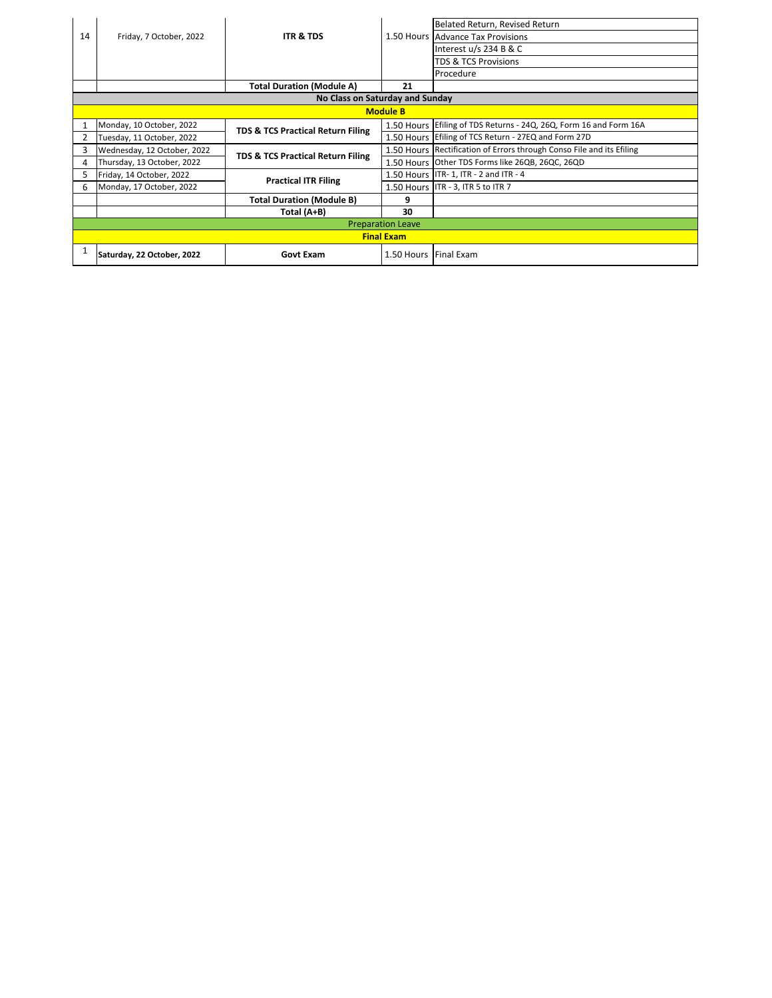|    |                                 |                                              |                       | Belated Return, Revised Return                                        |  |  |  |
|----|---------------------------------|----------------------------------------------|-----------------------|-----------------------------------------------------------------------|--|--|--|
| 14 | Friday, 7 October, 2022         | <b>ITR &amp; TDS</b>                         |                       | 1.50 Hours Advance Tax Provisions                                     |  |  |  |
|    |                                 |                                              |                       | Interest u/s 234 B & C                                                |  |  |  |
|    |                                 |                                              |                       | TDS & TCS Provisions                                                  |  |  |  |
|    |                                 |                                              |                       | Procedure                                                             |  |  |  |
|    |                                 | <b>Total Duration (Module A)</b>             | 21                    |                                                                       |  |  |  |
|    | No Class on Saturday and Sunday |                                              |                       |                                                                       |  |  |  |
|    | <b>Module B</b>                 |                                              |                       |                                                                       |  |  |  |
|    | Monday, 10 October, 2022        | <b>TDS &amp; TCS Practical Return Filing</b> |                       | 1.50 Hours Efiling of TDS Returns - 24Q, 26Q, Form 16 and Form 16A    |  |  |  |
|    | Tuesday, 11 October, 2022       |                                              |                       | 1.50 Hours Efiling of TCS Return - 27EQ and Form 27D                  |  |  |  |
| 3  | Wednesday, 12 October, 2022     |                                              |                       | 1.50 Hours Rectification of Errors through Conso File and its Efiling |  |  |  |
| 4  | Thursday, 13 October, 2022      | <b>TDS &amp; TCS Practical Return Filing</b> |                       | 1.50 Hours Other TDS Forms like 26QB, 26QC, 26QD                      |  |  |  |
|    | Friday, 14 October, 2022        | <b>Practical ITR Filing</b>                  |                       | 1.50 Hours ITR-1, ITR - 2 and ITR - 4                                 |  |  |  |
| 6  | Monday, 17 October, 2022        |                                              |                       | 1.50 Hours ITR - 3, ITR 5 to ITR 7                                    |  |  |  |
|    |                                 | <b>Total Duration (Module B)</b>             | 9                     |                                                                       |  |  |  |
|    |                                 | Total (A+B)                                  | 30                    |                                                                       |  |  |  |
|    | <b>Preparation Leave</b>        |                                              |                       |                                                                       |  |  |  |
|    |                                 |                                              | <b>Final Exam</b>     |                                                                       |  |  |  |
|    | Saturday, 22 October, 2022      | <b>Govt Exam</b>                             | 1.50 Hours Final Exam |                                                                       |  |  |  |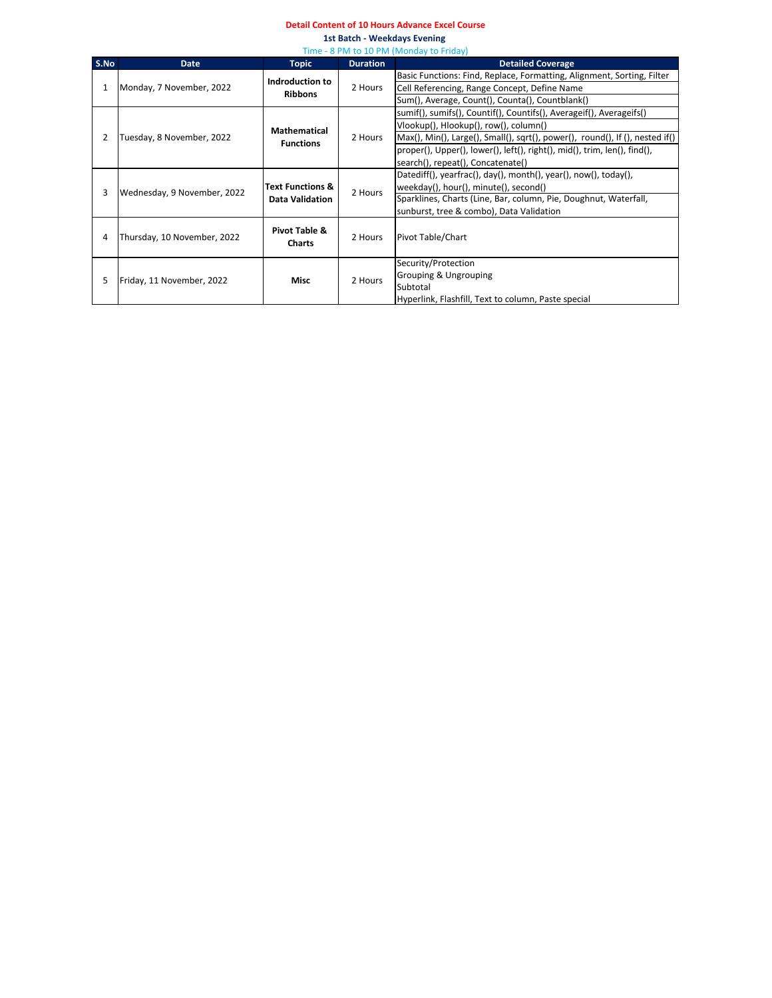#### **Detail Content of 10 Hours Advance Excel Course**

**1st Batch - Weekdays Evening**  Time - 8 PM to 10 PM (Monday to Friday)

|      | <u>I IIIIC - O FIVI LO IO FIVI (IVIOIIUAV LO FITUAV)</u> |                                                       |                 |                                                                              |  |
|------|----------------------------------------------------------|-------------------------------------------------------|-----------------|------------------------------------------------------------------------------|--|
| S.No | <b>Date</b>                                              | <b>Topic</b>                                          | <b>Duration</b> | <b>Detailed Coverage</b>                                                     |  |
|      |                                                          | Indroduction to                                       |                 | Basic Functions: Find, Replace, Formatting, Alignment, Sorting, Filter       |  |
| 1    | Monday, 7 November, 2022                                 | <b>Ribbons</b>                                        | 2 Hours         | Cell Referencing, Range Concept, Define Name                                 |  |
|      |                                                          |                                                       |                 | Sum(), Average, Count(), Counta(), Countblank()                              |  |
|      |                                                          |                                                       |                 | sumif(), sumifs(), Countif(), Countifs(), Averageif(), Averageifs()          |  |
|      |                                                          | <b>Mathematical</b>                                   |                 | Vlookup(), Hlookup(), row(), column()                                        |  |
| 2    | Tuesday, 8 November, 2022                                |                                                       | 2 Hours         | Max(), Min(), Large(), Small(), sqrt(), power(), round(), If (), nested if() |  |
|      |                                                          | <b>Functions</b>                                      |                 | proper(), Upper(), lower(), left(), right(), mid(), trim, len(), find(),     |  |
|      |                                                          |                                                       |                 | search(), repeat(), Concatenate()                                            |  |
|      |                                                          | <b>Text Functions &amp;</b><br><b>Data Validation</b> |                 | Datediff(), yearfrac(), day(), month(), year(), now(), today(),              |  |
|      |                                                          |                                                       | 2 Hours         | weekday(), hour(), minute(), second()                                        |  |
| 3    | Wednesday, 9 November, 2022                              |                                                       |                 | Sparklines, Charts (Line, Bar, column, Pie, Doughnut, Waterfall,             |  |
|      |                                                          |                                                       |                 | sunburst, tree & combo), Data Validation                                     |  |
|      |                                                          |                                                       |                 |                                                                              |  |
| 4    | Thursday, 10 November, 2022                              | Pivot Table &                                         | 2 Hours         | Pivot Table/Chart                                                            |  |
|      |                                                          | <b>Charts</b>                                         |                 |                                                                              |  |
|      |                                                          |                                                       |                 | Security/Protection                                                          |  |
|      |                                                          | Misc                                                  |                 | Grouping & Ungrouping                                                        |  |
| 5    | Friday, 11 November, 2022                                |                                                       | 2 Hours         | Subtotal                                                                     |  |
|      |                                                          |                                                       |                 | Hyperlink, Flashfill, Text to column, Paste special                          |  |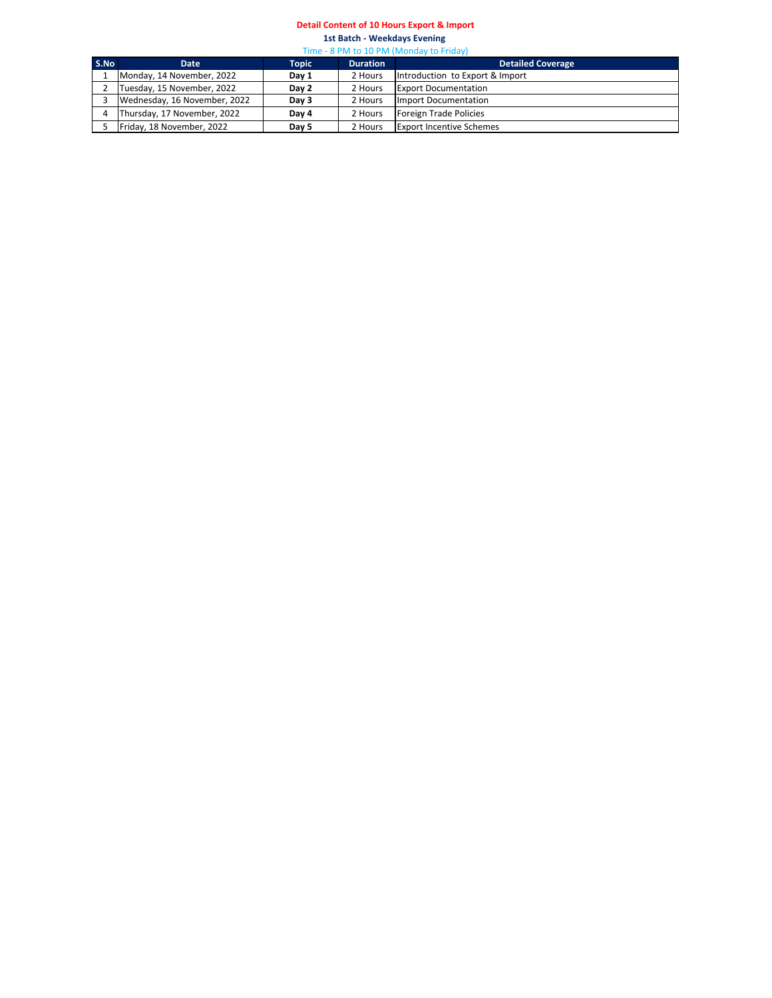## **Detail Content of 10 Hours Export & Import**

**1st Batch - Weekdays Evening**  Time - 8 PM to 10 PM (Monday to Friday)

| S.No | <b>Date</b>                  | Topic | <b>Duration</b> | <b>Detailed Coverage</b>        |  |
|------|------------------------------|-------|-----------------|---------------------------------|--|
|      | Monday, 14 November, 2022    | Day 1 | 2 Hours         | Introduction to Export & Import |  |
|      | Tuesday, 15 November, 2022   | Day 2 | 2 Hours         | <b>Export Documentation</b>     |  |
|      | Wednesday, 16 November, 2022 | Day 3 | 2 Hours         | Import Documentation            |  |
|      | Thursday, 17 November, 2022  | Day 4 | 2 Hours         | Foreign Trade Policies          |  |
|      | Friday, 18 November, 2022    | Day 5 | 2 Hours         | <b>Export Incentive Schemes</b> |  |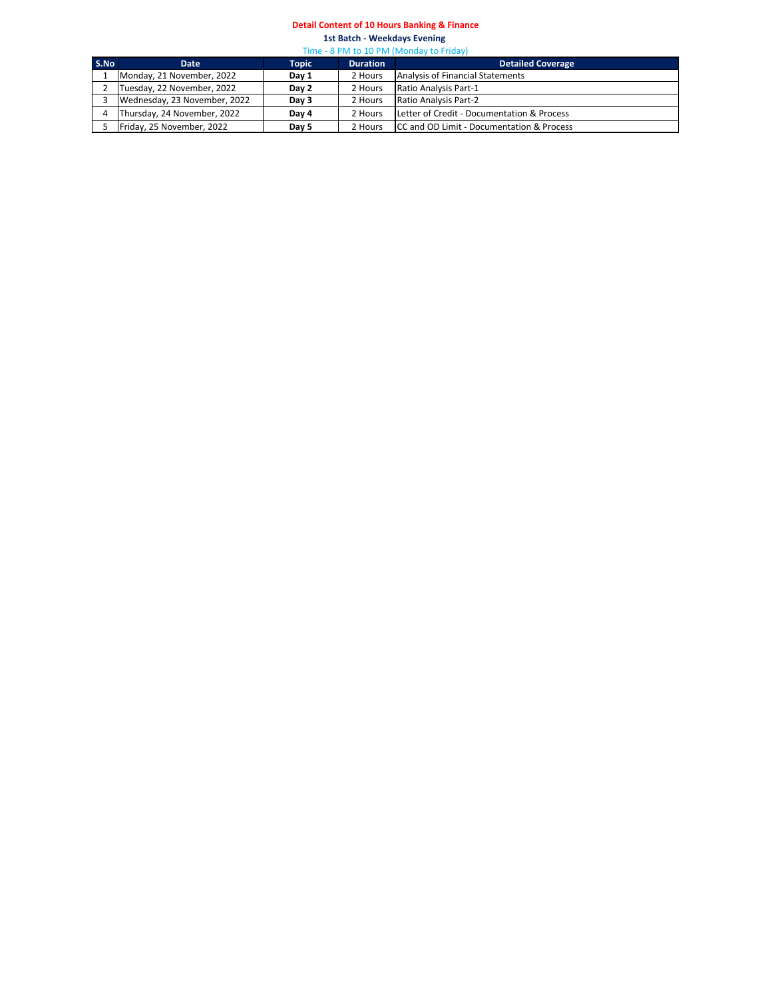### **Detail Content of 10 Hours Banking & Finance**

**1st Batch - Weekdays Evening**  Time - 8 PM to 10 PM (Monday to Friday)

|      | $11111C$ O I IVI LO 100 I IVI (IVIOIRCHE LO I IRCHE) |              |                 |                                            |  |
|------|------------------------------------------------------|--------------|-----------------|--------------------------------------------|--|
| S.No | Date                                                 | <b>Topic</b> | <b>Duration</b> | <b>Detailed Coverage</b>                   |  |
|      | Monday, 21 November, 2022                            | Day 1        | 2 Hours         | Analysis of Financial Statements           |  |
|      | Tuesday, 22 November, 2022                           | Day 2        | 2 Hours         | Ratio Analysis Part-1                      |  |
|      | Wednesday, 23 November, 2022                         | Day 3        | 2 Hours         | Ratio Analysis Part-2                      |  |
|      | Thursday, 24 November, 2022                          | Day 4        | 2 Hours         | Letter of Credit - Documentation & Process |  |
|      | Friday, 25 November, 2022                            | Day 5        | 2 Hours         | CC and OD Limit - Documentation & Process  |  |